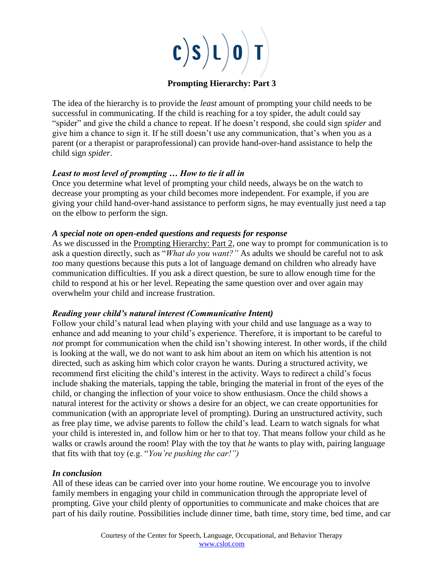

# **Prompting Hierarchy: Part 3**

The idea of the hierarchy is to provide the *least* amount of prompting your child needs to be successful in communicating. If the child is reaching for a toy spider, the adult could say "spider" and give the child a chance to repeat. If he doesn't respond, she could sign *spider* and give him a chance to sign it. If he still doesn't use any communication, that's when you as a parent (or a therapist or paraprofessional) can provide hand-over-hand assistance to help the child sign *spider*.

# *Least to most level of prompting … How to tie it all in*

Once you determine what level of prompting your child needs, always be on the watch to decrease your prompting as your child becomes more independent. For example, if you are giving your child hand-over-hand assistance to perform signs, he may eventually just need a tap on the elbow to perform the sign.

# *A special note on open-ended questions and requests for response*

As we discussed in the Prompting Hierarchy: Part 2, one way to prompt for communication is to ask a question directly, such as "*What do you want?"* As adults we should be careful not to ask *too* many questions because this puts a lot of language demand on children who already have communication difficulties. If you ask a direct question, be sure to allow enough time for the child to respond at his or her level. Repeating the same question over and over again may overwhelm your child and increase frustration.

# *Reading your child's natural interest (Communicative Intent)*

Follow your child's natural lead when playing with your child and use language as a way to enhance and add meaning to your child's experience. Therefore, it is important to be careful to *not* prompt for communication when the child isn't showing interest. In other words, if the child is looking at the wall, we do not want to ask him about an item on which his attention is not directed, such as asking him which color crayon he wants. During a structured activity, we recommend first eliciting the child's interest in the activity. Ways to redirect a child's focus include shaking the materials, tapping the table, bringing the material in front of the eyes of the child, or changing the inflection of your voice to show enthusiasm. Once the child shows a natural interest for the activity or shows a desire for an object, we can create opportunities for communication (with an appropriate level of prompting). During an unstructured activity, such as free play time, we advise parents to follow the child's lead. Learn to watch signals for what your child is interested in, and follow him or her to that toy. That means follow your child as he walks or crawls around the room! Play with the toy that *he* wants to play with, pairing language that fits with that toy (e.g. "*You're pushing the car!")*

# *In conclusion*

All of these ideas can be carried over into your home routine. We encourage you to involve family members in engaging your child in communication through the appropriate level of prompting. Give your child plenty of opportunities to communicate and make choices that are part of his daily routine. Possibilities include dinner time, bath time, story time, bed time, and car